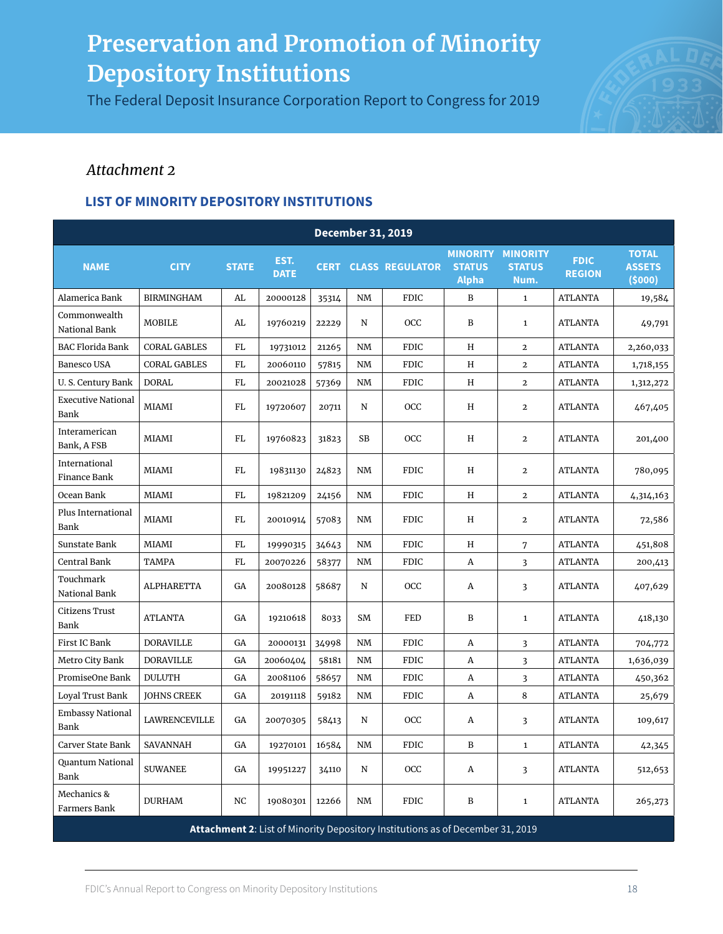The Federal Deposit Insurance Corporation Report to Congress for 2019



### *Attachment 2*

| <b>December 31, 2019</b>          |                     |              |                     |             |    |                                                                                |                                                           |                       |                              |                                         |  |  |
|-----------------------------------|---------------------|--------------|---------------------|-------------|----|--------------------------------------------------------------------------------|-----------------------------------------------------------|-----------------------|------------------------------|-----------------------------------------|--|--|
| <b>NAME</b>                       | <b>CITY</b>         | <b>STATE</b> | EST.<br><b>DATE</b> | <b>CERT</b> |    | <b>CLASS REGULATOR</b>                                                         | <b>MINORITY MINORITY</b><br><b>STATUS</b><br><b>Alpha</b> | <b>STATUS</b><br>Num. | <b>FDIC</b><br><b>REGION</b> | <b>TOTAL</b><br><b>ASSETS</b><br>(5000) |  |  |
| Alamerica Bank                    | <b>BIRMINGHAM</b>   | AL           | 20000128            | 35314       | NM | <b>FDIC</b>                                                                    | B                                                         | $\mathbf{1}$          | <b>ATLANTA</b>               | 19,584                                  |  |  |
| Commonwealth<br>National Bank     | <b>MOBILE</b>       | AL           | 19760219            | 22229       | N  | OCC                                                                            | B                                                         | $\mathbf{1}$          | <b>ATLANTA</b>               | 49,791                                  |  |  |
| <b>BAC Florida Bank</b>           | <b>CORAL GABLES</b> | FL           | 19731012            | 21265       | NM | <b>FDIC</b>                                                                    | Η                                                         | $\overline{2}$        | <b>ATLANTA</b>               | 2,260,033                               |  |  |
| Banesco USA                       | <b>CORAL GABLES</b> | FL           | 20060110            | 57815       | NM | <b>FDIC</b>                                                                    | Η                                                         | $\overline{2}$        | <b>ATLANTA</b>               | 1,718,155                               |  |  |
| U.S. Century Bank                 | <b>DORAL</b>        | FL           | 20021028            | 57369       | NM | <b>FDIC</b>                                                                    | Η                                                         | $\overline{2}$        | <b>ATLANTA</b>               | 1,312,272                               |  |  |
| <b>Executive National</b><br>Bank | <b>MIAMI</b>        | FL           | 19720607            | 20711       | N  | OCC                                                                            | Η                                                         | $\mathbf{2}$          | <b>ATLANTA</b>               | 467,405                                 |  |  |
| Interamerican<br>Bank, A FSB      | MIAMI               | FL           | 19760823            | 31823       | SB | OCC                                                                            | Η                                                         | $\mathbf{2}$          | <b>ATLANTA</b>               | 201,400                                 |  |  |
| International<br>Finance Bank     | MIAMI               | FL           | 19831130            | 24823       | NM | <b>FDIC</b>                                                                    | Η                                                         | $\mathbf{2}$          | <b>ATLANTA</b>               | 780,095                                 |  |  |
| Ocean Bank                        | MIAMI               | FL           | 19821209            | 24156       | NM | <b>FDIC</b>                                                                    | Η                                                         | $\overline{a}$        | <b>ATLANTA</b>               | 4,314,163                               |  |  |
| Plus International<br><b>Bank</b> | <b>MIAMI</b>        | FL           | 20010914            | 57083       | NM | <b>FDIC</b>                                                                    | Η                                                         | $\mathbf{2}$          | <b>ATLANTA</b>               | 72,586                                  |  |  |
| Sunstate Bank                     | <b>MIAMI</b>        | FL           | 19990315            | 34643       | NM | <b>FDIC</b>                                                                    | Η                                                         | 7                     | <b>ATLANTA</b>               | 451,808                                 |  |  |
| Central Bank                      | <b>TAMPA</b>        | FL           | 20070226            | 58377       | NM | <b>FDIC</b>                                                                    | A                                                         | 3                     | <b>ATLANTA</b>               | 200,413                                 |  |  |
| Touchmark<br>National Bank        | ALPHARETTA          | GA           | 20080128            | 58687       | N  | OCC                                                                            | Α                                                         | 3                     | <b>ATLANTA</b>               | 407,629                                 |  |  |
| Citizens Trust<br>Bank            | <b>ATLANTA</b>      | GA           | 19210618            | 8033        | SM | FED                                                                            | B                                                         | $\mathbf{1}$          | <b>ATLANTA</b>               | 418,130                                 |  |  |
| First IC Bank                     | <b>DORAVILLE</b>    | GA           | 20000131            | 34998       | NM | <b>FDIC</b>                                                                    | Α                                                         | $\overline{3}$        | <b>ATLANTA</b>               | 704,772                                 |  |  |
| Metro City Bank                   | <b>DORAVILLE</b>    | GA           | 20060404            | 58181       | NM | <b>FDIC</b>                                                                    | A                                                         | 3                     | <b>ATLANTA</b>               | 1,636,039                               |  |  |
| PromiseOne Bank                   | <b>DULUTH</b>       | GA           | 20081106            | 58657       | NM | <b>FDIC</b>                                                                    | Α                                                         | $\overline{3}$        | <b>ATLANTA</b>               | 450,362                                 |  |  |
| <b>Loyal Trust Bank</b>           | <b>JOHNS CREEK</b>  | GA           | 20191118            | 59182       | NM | <b>FDIC</b>                                                                    | A                                                         | 8                     | <b>ATLANTA</b>               | 25,679                                  |  |  |
| <b>Embassy National</b><br>Bank   | LAWRENCEVILLE       | GA           | 20070305            | 58413       | N  | OCC                                                                            | A                                                         | 3                     | <b>ATLANTA</b>               | 109,617                                 |  |  |
| Carver State Bank                 | SAVANNAH            | GA           | 19270101            | 16584       | NM | <b>FDIC</b>                                                                    | B                                                         | $\mathbf{1}$          | <b>ATLANTA</b>               | 42,345                                  |  |  |
| Quantum National<br>Bank          | <b>SUWANEE</b>      | GA           | 19951227            | 34110       | N  | OCC                                                                            | A                                                         | 3                     | <b>ATLANTA</b>               | 512,653                                 |  |  |
| Mechanics &<br>Farmers Bank       | <b>DURHAM</b>       | NC           | 19080301            | 12266       | NM | <b>FDIC</b>                                                                    | B                                                         | $\mathbf{1}$          | <b>ATLANTA</b>               | 265,273                                 |  |  |
|                                   |                     |              |                     |             |    | Attachment 2: List of Minority Depository Institutions as of December 31, 2019 |                                                           |                       |                              |                                         |  |  |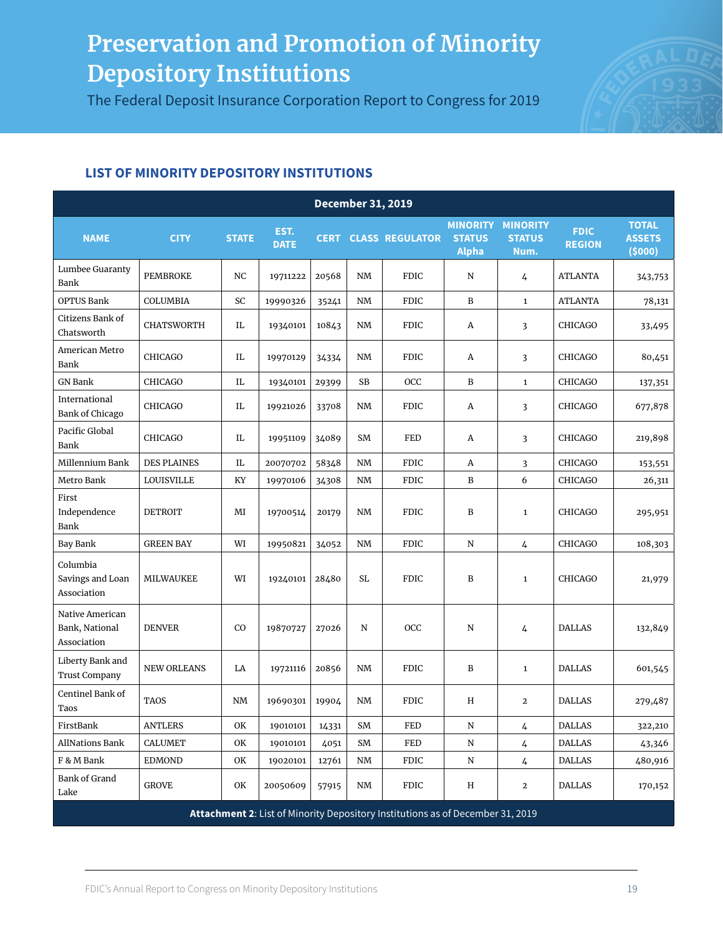The Federal Deposit Insurance Corporation Report to Congress for 2019



|                                                  | <b>December 31, 2019</b> |              |                     |             |           |                                                                                |                                                  |                                          |                              |                                         |  |  |  |
|--------------------------------------------------|--------------------------|--------------|---------------------|-------------|-----------|--------------------------------------------------------------------------------|--------------------------------------------------|------------------------------------------|------------------------------|-----------------------------------------|--|--|--|
| <b>NAME</b>                                      | <b>CITY</b>              | <b>STATE</b> | EST.<br><b>DATE</b> | <b>CERT</b> |           | <b>CLASS REGULATOR</b>                                                         | <b>MINORITY</b><br><b>STATUS</b><br><b>Alpha</b> | <b>MINORITY</b><br><b>STATUS</b><br>Num. | <b>FDIC</b><br><b>REGION</b> | <b>TOTAL</b><br><b>ASSETS</b><br>(5000) |  |  |  |
| Lumbee Guaranty<br>Bank                          | <b>PEMBROKE</b>          | NC           | 19711222            | 20568       | NM        | <b>FDIC</b>                                                                    | N                                                | 4                                        | <b>ATLANTA</b>               | 343,753                                 |  |  |  |
| <b>OPTUS Bank</b>                                | COLUMBIA                 | SC           | 19990326            | 35241       | NM        | <b>FDIC</b>                                                                    | B                                                | $\mathbf{1}$                             | <b>ATLANTA</b>               | 78,131                                  |  |  |  |
| Citizens Bank of<br>Chatsworth                   | <b>CHATSWORTH</b>        | IL           | 19340101            | 10843       | NM        | <b>FDIC</b>                                                                    | A                                                | 3                                        | <b>CHICAGO</b>               | 33,495                                  |  |  |  |
| American Metro<br>Bank                           | <b>CHICAGO</b>           | IL           | 19970129            | 34334       | NM        | <b>FDIC</b>                                                                    | A                                                | 3                                        | <b>CHICAGO</b>               | 80,451                                  |  |  |  |
| <b>GN Bank</b>                                   | <b>CHICAGO</b>           | IL           | 19340101            | 29399       | SB        | OCC                                                                            | B                                                | $\mathbf{1}$                             | <b>CHICAGO</b>               | 137,351                                 |  |  |  |
| International<br><b>Bank of Chicago</b>          | <b>CHICAGO</b>           | IL           | 19921026            | 33708       | NM        | <b>FDIC</b>                                                                    | A                                                | 3                                        | <b>CHICAGO</b>               | 677,878                                 |  |  |  |
| Pacific Global<br>Bank                           | <b>CHICAGO</b>           | IL           | 19951109            | 34089       | SM        | FED                                                                            | А                                                | 3                                        | <b>CHICAGO</b>               | 219,898                                 |  |  |  |
| Millennium Bank                                  | <b>DES PLAINES</b>       | IL.          | 20070702            | 58348       | NM        | <b>FDIC</b>                                                                    | A                                                | 3                                        | <b>CHICAGO</b>               | 153,551                                 |  |  |  |
| Metro Bank                                       | <b>LOUISVILLE</b>        | KY           | 19970106            | 34308       | NM        | <b>FDIC</b>                                                                    | B                                                | 6                                        | CHICAGO                      | 26,311                                  |  |  |  |
| First<br>Independence<br>Bank                    | <b>DETROIT</b>           | MI           | 19700514            | 20179       | NM        | <b>FDIC</b>                                                                    | B                                                | $\mathbf{1}$                             | CHICAGO                      | 295,951                                 |  |  |  |
| Bay Bank                                         | <b>GREEN BAY</b>         | WI           | 19950821            | 34052       | NM        | <b>FDIC</b>                                                                    | ${\bf N}$                                        | 4                                        | <b>CHICAGO</b>               | 108,303                                 |  |  |  |
| Columbia<br>Savings and Loan<br>Association      | <b>MILWAUKEE</b>         | WI           | 19240101            | 28480       | SL        | <b>FDIC</b>                                                                    | B                                                | $\mathbf{1}$                             | <b>CHICAGO</b>               | 21,979                                  |  |  |  |
| Native American<br>Bank, National<br>Association | <b>DENVER</b>            | CO           | 19870727            | 27026       | N         | <b>OCC</b>                                                                     | ${\bf N}$                                        | 4                                        | <b>DALLAS</b>                | 132,849                                 |  |  |  |
| Liberty Bank and<br><b>Trust Company</b>         | <b>NEW ORLEANS</b>       | LA           | 19721116            | 20856       | NM        | <b>FDIC</b>                                                                    | B                                                | $\mathbf{1}$                             | <b>DALLAS</b>                | 601,545                                 |  |  |  |
| Centinel Bank of<br>Taos                         | <b>TAOS</b>              | NM           | 19690301            | 19904       | NM        | <b>FDIC</b>                                                                    | H                                                | $\mathbf{2}$                             | <b>DALLAS</b>                | 279,487                                 |  |  |  |
| FirstBank                                        | <b>ANTLERS</b>           | OK           | 19010101            | 14331       | SM        | FED                                                                            | ${\bf N}$                                        | 4                                        | <b>DALLAS</b>                | 322,210                                 |  |  |  |
| <b>AllNations Bank</b>                           | <b>CALUMET</b>           | OK           | 19010101            | 4051        | SM        | FED                                                                            | N                                                | 4                                        | <b>DALLAS</b>                | 43,346                                  |  |  |  |
| F & M Bank                                       | <b>EDMOND</b>            | OK           | 19020101            | 12761       | $\rm{N}M$ | <b>FDIC</b>                                                                    | N                                                | 4                                        | <b>DALLAS</b>                | 480,916                                 |  |  |  |
| <b>Bank of Grand</b><br>${\rm Lake}$             | <b>GROVE</b>             | OK           | 20050609            | 57915       | NM        | FDIC                                                                           | Η                                                | $\mathbf{2}$                             | DALLAS                       | 170,152                                 |  |  |  |
|                                                  |                          |              |                     |             |           | Attachment 2: List of Minority Depository Institutions as of December 31, 2019 |                                                  |                                          |                              |                                         |  |  |  |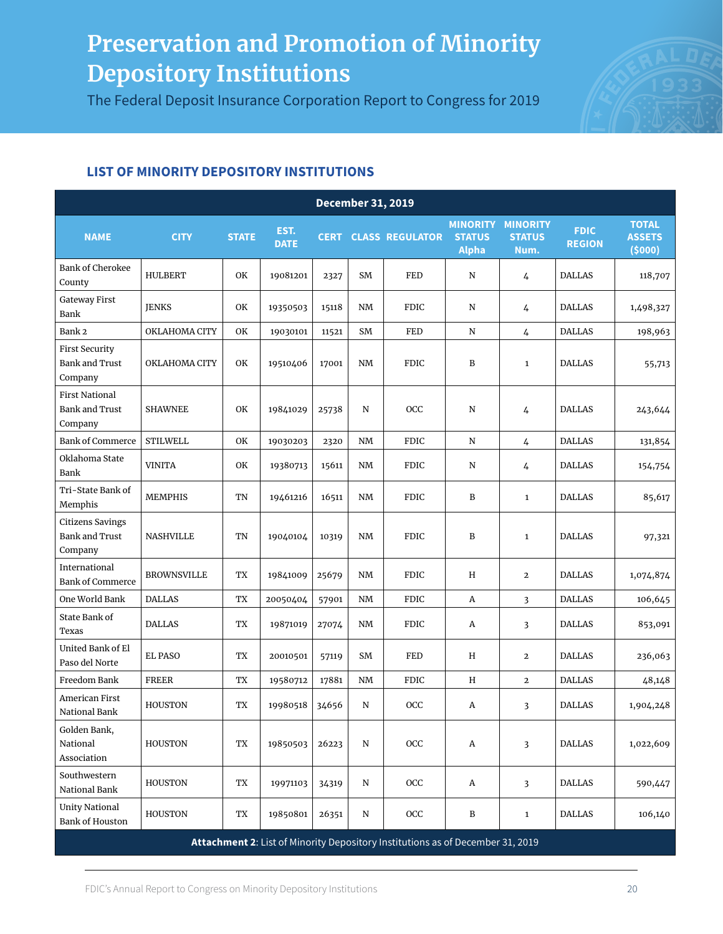The Federal Deposit Insurance Corporation Report to Congress for 2019



| <b>December 31, 2019</b>                                    |                    |              |                     |             |           |                                                                                |                               |                                                   |                              |                                         |  |  |
|-------------------------------------------------------------|--------------------|--------------|---------------------|-------------|-----------|--------------------------------------------------------------------------------|-------------------------------|---------------------------------------------------|------------------------------|-----------------------------------------|--|--|
| <b>NAME</b>                                                 | <b>CITY</b>        | <b>STATE</b> | EST.<br><b>DATE</b> | <b>CERT</b> |           | <b>CLASS REGULATOR</b>                                                         | <b>STATUS</b><br><b>Alpha</b> | <b>MINORITY MINORITY</b><br><b>STATUS</b><br>Num. | <b>FDIC</b><br><b>REGION</b> | <b>TOTAL</b><br><b>ASSETS</b><br>(5000) |  |  |
| <b>Bank of Cherokee</b><br>County                           | <b>HULBERT</b>     | OK           | 19081201            | 2327        | SM        | FED                                                                            | N                             | 4                                                 | <b>DALLAS</b>                | 118,707                                 |  |  |
| <b>Gateway First</b><br>Bank                                | <b>JENKS</b>       | OK           | 19350503            | 15118       | <b>NM</b> | <b>FDIC</b>                                                                    | N                             | 4                                                 | <b>DALLAS</b>                | 1,498,327                               |  |  |
| Bank 2                                                      | OKLAHOMA CITY      | OK           | 19030101            | 11521       | SM        | FED                                                                            | ${\bf N}$                     | 4                                                 | <b>DALLAS</b>                | 198,963                                 |  |  |
| <b>First Security</b><br><b>Bank and Trust</b><br>Company   | OKLAHOMA CITY      | OK           | 19510406            | 17001       | NM        | <b>FDIC</b>                                                                    | B                             | $\mathbf{1}$                                      | <b>DALLAS</b>                | 55,713                                  |  |  |
| <b>First National</b><br><b>Bank and Trust</b><br>Company   | <b>SHAWNEE</b>     | OK           | 19841029            | 25738       | N         | OCC                                                                            | N                             | 4                                                 | <b>DALLAS</b>                | 243,644                                 |  |  |
| <b>Bank of Commerce</b>                                     | <b>STILWELL</b>    | <b>OK</b>    | 19030203            | 2320        | <b>NM</b> | <b>FDIC</b>                                                                    | ${\bf N}$                     | 4                                                 | <b>DALLAS</b>                | 131,854                                 |  |  |
| Oklahoma State<br>Bank                                      | <b>VINITA</b>      | OK           | 19380713            | 15611       | NM        | <b>FDIC</b>                                                                    | N                             | 4                                                 | <b>DALLAS</b>                | 154,754                                 |  |  |
| Tri-State Bank of<br>Memphis                                | <b>MEMPHIS</b>     | <b>TN</b>    | 19461216            | 16511       | <b>NM</b> | <b>FDIC</b>                                                                    | B                             | $\mathbf{1}$                                      | <b>DALLAS</b>                | 85,617                                  |  |  |
| <b>Citizens Savings</b><br><b>Bank and Trust</b><br>Company | <b>NASHVILLE</b>   | TN           | 19040104            | 10319       | <b>NM</b> | <b>FDIC</b>                                                                    | B                             | $\mathbf{1}$                                      | <b>DALLAS</b>                | 97,321                                  |  |  |
| International<br><b>Bank of Commerce</b>                    | <b>BROWNSVILLE</b> | TX           | 19841009            | 25679       | <b>NM</b> | <b>FDIC</b>                                                                    | H                             | $\overline{2}$                                    | <b>DALLAS</b>                | 1,074,874                               |  |  |
| One World Bank                                              | <b>DALLAS</b>      | TX           | 20050404            | 57901       | <b>NM</b> | <b>FDIC</b>                                                                    | Α                             | 3                                                 | <b>DALLAS</b>                | 106,645                                 |  |  |
| State Bank of<br>Texas                                      | <b>DALLAS</b>      | TX           | 19871019            | 27074       | NM        | <b>FDIC</b>                                                                    | Α                             | 3                                                 | <b>DALLAS</b>                | 853,091                                 |  |  |
| United Bank of El<br>Paso del Norte                         | <b>EL PASO</b>     | TX           | 20010501            | 57119       | SM        | FED                                                                            | H                             | $\mathbf{2}$                                      | <b>DALLAS</b>                | 236,063                                 |  |  |
| Freedom Bank                                                | <b>FREER</b>       | TX           | 19580712            | 17881       | NM        | <b>FDIC</b>                                                                    | H                             | $\mathbf{2}$                                      | <b>DALLAS</b>                | 48,148                                  |  |  |
| American First<br>National Bank                             | <b>HOUSTON</b>     | TX           | 19980518            | 34656       | N         | OCC                                                                            | Α                             | 3                                                 | <b>DALLAS</b>                | 1,904,248                               |  |  |
| Golden Bank,<br>National<br>Association                     | <b>HOUSTON</b>     | TX           | 19850503            | 26223       | N         | OCC                                                                            | A                             | 3                                                 | DALLAS                       | 1,022,609                               |  |  |
| Southwestern<br>National Bank                               | <b>HOUSTON</b>     | TX           | 19971103            | 34319       | N         | OCC                                                                            | A                             | 3                                                 | <b>DALLAS</b>                | 590,447                                 |  |  |
| <b>Unity National</b><br><b>Bank of Houston</b>             | <b>HOUSTON</b>     | TX           | 19850801            | 26351       | ${\bf N}$ | OCC                                                                            | B                             | $\mathbf{1}$                                      | <b>DALLAS</b>                | 106,140                                 |  |  |
|                                                             |                    |              |                     |             |           | Attachment 2: List of Minority Depository Institutions as of December 31, 2019 |                               |                                                   |                              |                                         |  |  |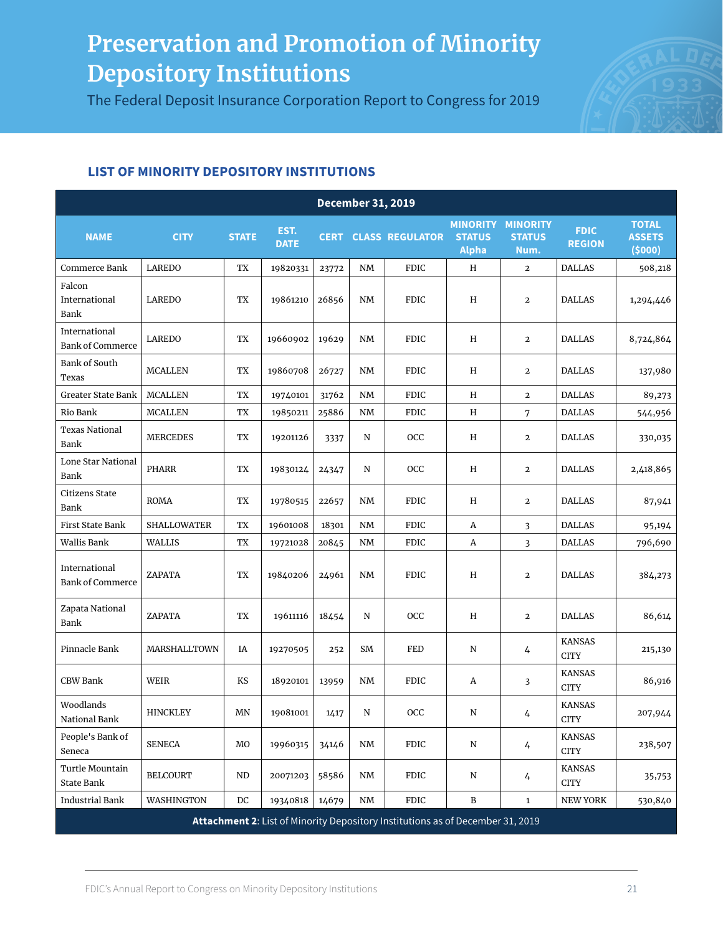The Federal Deposit Insurance Corporation Report to Congress for 2019



| <b>December 31, 2019</b>                 |                     |              |                     |       |                        |                                                                                |                                                  |                                          |                               |                                         |  |  |
|------------------------------------------|---------------------|--------------|---------------------|-------|------------------------|--------------------------------------------------------------------------------|--------------------------------------------------|------------------------------------------|-------------------------------|-----------------------------------------|--|--|
| <b>NAME</b>                              | <b>CITY</b>         | <b>STATE</b> | EST.<br><b>DATE</b> |       |                        | <b>CERT CLASS REGULATOR</b>                                                    | <b>MINORITY</b><br><b>STATUS</b><br><b>Alpha</b> | <b>MINORITY</b><br><b>STATUS</b><br>Num. | <b>FDIC</b><br><b>REGION</b>  | <b>TOTAL</b><br><b>ASSETS</b><br>(5000) |  |  |
| Commerce Bank                            | LAREDO              | TX           | 19820331            | 23772 | $\text{N}\text{M}$     | <b>FDIC</b>                                                                    | $\, {\rm H}$                                     | $\mathbf{2}$                             | <b>DALLAS</b>                 | 508,218                                 |  |  |
| Falcon<br>International<br><b>Bank</b>   | LAREDO              | TX           | 19861210            | 26856 | <b>NM</b>              | <b>FDIC</b>                                                                    | H                                                | $\overline{2}$                           | <b>DALLAS</b>                 | 1,294,446                               |  |  |
| International<br><b>Bank of Commerce</b> | LAREDO              | TX           | 19660902            | 19629 | <b>NM</b>              | <b>FDIC</b>                                                                    | H                                                | $\mathbf{2}$                             | <b>DALLAS</b>                 | 8,724,864                               |  |  |
| Bank of South<br>Texas                   | <b>MCALLEN</b>      | TX           | 19860708            | 26727 | <b>NM</b>              | <b>FDIC</b>                                                                    | H                                                | $\mathbf{2}$                             | <b>DALLAS</b>                 | 137,980                                 |  |  |
| Greater State Bank                       | <b>MCALLEN</b>      | TX           | 19740101            | 31762 | <b>NM</b>              | <b>FDIC</b>                                                                    | H                                                | $\mathbf{2}$                             | <b>DALLAS</b>                 | 89,273                                  |  |  |
| Rio Bank                                 | <b>MCALLEN</b>      | TX           | 19850211            | 25886 | <b>NM</b>              | <b>FDIC</b>                                                                    | H                                                | 7                                        | <b>DALLAS</b>                 | 544,956                                 |  |  |
| <b>Texas National</b><br>Bank            | <b>MERCEDES</b>     | TX           | 19201126            | 3337  | N                      | OCC                                                                            | H                                                | $\mathbf{2}$                             | <b>DALLAS</b>                 | 330,035                                 |  |  |
| <b>Lone Star National</b><br>Bank        | <b>PHARR</b>        | TX           | 19830124            | 24347 | N                      | OCC                                                                            | H                                                | $\mathbf{2}$                             | <b>DALLAS</b>                 | 2,418,865                               |  |  |
| Citizens State<br>Bank                   | <b>ROMA</b>         | TX           | 19780515            | 22657 | NM                     | <b>FDIC</b>                                                                    | H                                                | $\mathbf{2}$                             | <b>DALLAS</b>                 | 87,941                                  |  |  |
| First State Bank                         | SHALLOWATER         | TX           | 19601008            | 18301 | <b>NM</b>              | <b>FDIC</b>                                                                    | Α                                                | 3                                        | <b>DALLAS</b>                 | 95,194                                  |  |  |
| Wallis Bank                              | <b>WALLIS</b>       | TX           | 19721028            | 20845 | <b>NM</b>              | <b>FDIC</b>                                                                    | Α                                                | 3                                        | <b>DALLAS</b>                 | 796,690                                 |  |  |
| International<br><b>Bank of Commerce</b> | ZAPATA              | TX           | 19840206            | 24961 | <b>NM</b>              | <b>FDIC</b>                                                                    | H                                                | $\mathbf{2}$                             | <b>DALLAS</b>                 | 384,273                                 |  |  |
| Zapata National<br>Bank                  | ZAPATA              | TX           | 19611116            | 18454 | N                      | OCC                                                                            | H                                                | $\mathbf{2}$                             | <b>DALLAS</b>                 | 86,614                                  |  |  |
| Pinnacle Bank                            | <b>MARSHALLTOWN</b> | IA           | 19270505            | 252   | SM                     | FED                                                                            | N                                                | 4                                        | <b>KANSAS</b><br><b>CITY</b>  | 215,130                                 |  |  |
| CBW Bank                                 | <b>WEIR</b>         | KS           | 18920101            | 13959 | <b>NM</b>              | FDIC                                                                           | A                                                | 3                                        | <b>KANSAS</b><br><b>CITY</b>  | 86,916                                  |  |  |
| Woodlands<br>National Bank               | <b>HINCKLEY</b>     | MN           | 19081001            | 1417  | N                      | OCC                                                                            | N                                                | 4                                        | <b>KANSAS</b><br><b>CITY</b>  | 207,944                                 |  |  |
| People's Bank of<br>Seneca               | <b>SENECA</b>       | MO           | 19960315            | 34146 | NM                     | <b>FDIC</b>                                                                    | N                                                | 4                                        | <b>KANSAS</b><br>${\rm CITY}$ | 238,507                                 |  |  |
| Turtle Mountain<br>State Bank            | <b>BELCOURT</b>     | <b>ND</b>    | 20071203            | 58586 | NM                     | <b>FDIC</b>                                                                    | N                                                | 4                                        | <b>KANSAS</b><br>$\rm CITY$   | 35,753                                  |  |  |
| <b>Industrial Bank</b>                   | WASHINGTON          | $_{\rm DC}$  | 19340818            | 14679 | $\mathrm{N}\mathrm{M}$ | <b>FDIC</b>                                                                    | B                                                | $\mathbf{1}$                             | NEW YORK                      | 530,840                                 |  |  |
|                                          |                     |              |                     |       |                        | Attachment 2: List of Minority Depository Institutions as of December 31, 2019 |                                                  |                                          |                               |                                         |  |  |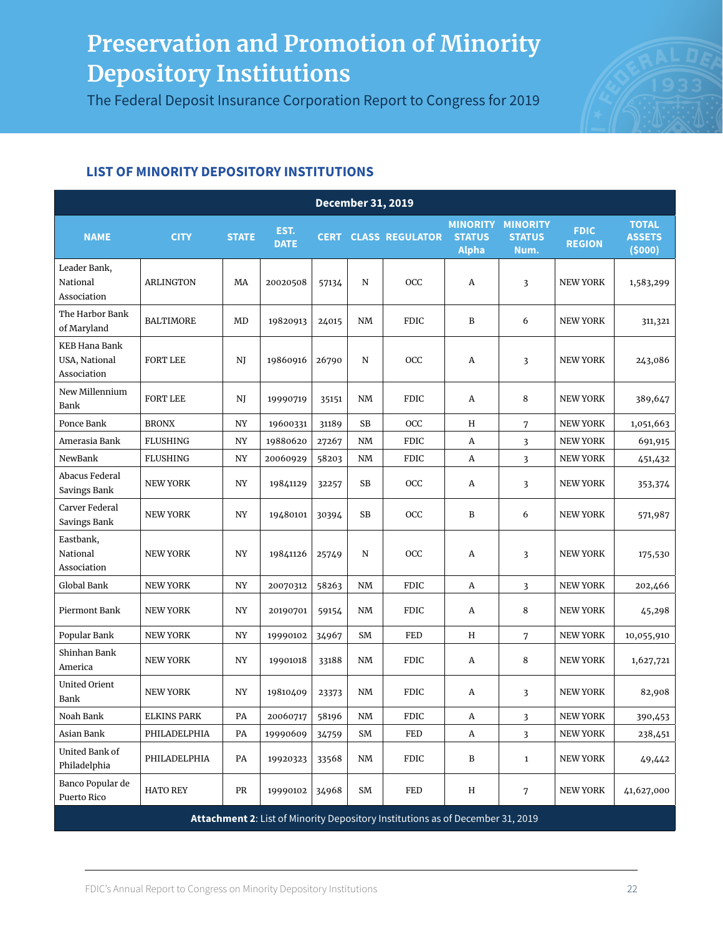The Federal Deposit Insurance Corporation Report to Congress for 2019



| <b>December 31, 2019</b>                      |                    |              |                     |             |                        |                                                                                |                                                  |                                          |                              |                                         |  |
|-----------------------------------------------|--------------------|--------------|---------------------|-------------|------------------------|--------------------------------------------------------------------------------|--------------------------------------------------|------------------------------------------|------------------------------|-----------------------------------------|--|
| <b>NAME</b>                                   | <b>CITY</b>        | <b>STATE</b> | EST.<br><b>DATE</b> | <b>CERT</b> |                        | <b>CLASS REGULATOR</b>                                                         | <b>MINORITY</b><br><b>STATUS</b><br><b>Alpha</b> | <b>MINORITY</b><br><b>STATUS</b><br>Num. | <b>FDIC</b><br><b>REGION</b> | <b>TOTAL</b><br><b>ASSETS</b><br>(5000) |  |
| Leader Bank,<br>National<br>Association       | <b>ARLINGTON</b>   | MA           | 20020508            | 57134       | N                      | OCC                                                                            | Α                                                | 3                                        | <b>NEW YORK</b>              | 1,583,299                               |  |
| The Harbor Bank<br>of Maryland                | <b>BALTIMORE</b>   | MD           | 19820913            | 24015       | NM                     | <b>FDIC</b>                                                                    | B                                                | 6                                        | <b>NEW YORK</b>              | 311,321                                 |  |
| KEB Hana Bank<br>USA, National<br>Association | <b>FORT LEE</b>    | NJ           | 19860916            | 26790       | N                      | OCC                                                                            | Α                                                | 3                                        | <b>NEW YORK</b>              | 243,086                                 |  |
| New Millennium<br>Bank                        | <b>FORT LEE</b>    | NJ           | 19990719            | 35151       | NM                     | <b>FDIC</b>                                                                    | A                                                | 8                                        | <b>NEW YORK</b>              | 389,647                                 |  |
| Ponce Bank                                    | <b>BRONX</b>       | NY           | 19600331            | 31189       | SB                     | OCC                                                                            | H                                                | 7                                        | <b>NEW YORK</b>              | 1,051,663                               |  |
| Amerasia Bank                                 | <b>FLUSHING</b>    | NY           | 19880620            | 27267       | NM                     | <b>FDIC</b>                                                                    | A                                                | 3                                        | <b>NEW YORK</b>              | 691,915                                 |  |
| NewBank                                       | <b>FLUSHING</b>    | NY           | 20060929            | 58203       | NM                     | <b>FDIC</b>                                                                    | Α                                                | 3                                        | <b>NEW YORK</b>              | 451,432                                 |  |
| Abacus Federal<br>Savings Bank                | <b>NEW YORK</b>    | NY           | 19841129            | 32257       | SB                     | OCC                                                                            | A                                                | 3                                        | <b>NEW YORK</b>              | 353,374                                 |  |
| Carver Federal<br>Savings Bank                | <b>NEW YORK</b>    | NY           | 19480101            | 30394       | <b>SB</b>              | OCC                                                                            | B                                                | 6                                        | <b>NEW YORK</b>              | 571,987                                 |  |
| Eastbank,<br>National<br>Association          | <b>NEW YORK</b>    | NY           | 19841126            | 25749       | N                      | OCC                                                                            | Α                                                | $\overline{\mathbf{3}}$                  | <b>NEW YORK</b>              | 175,530                                 |  |
| Global Bank                                   | <b>NEW YORK</b>    | NY           | 20070312            | 58263       | NM                     | <b>FDIC</b>                                                                    | Α                                                | 3                                        | <b>NEW YORK</b>              | 202,466                                 |  |
| Piermont Bank                                 | <b>NEW YORK</b>    | NY           | 20190701            | 59154       | NM                     | <b>FDIC</b>                                                                    | Α                                                | 8                                        | <b>NEW YORK</b>              | 45,298                                  |  |
| Popular Bank                                  | <b>NEW YORK</b>    | NY           | 19990102            | 34967       | SM                     | <b>FED</b>                                                                     | Η                                                | $\overline{7}$                           | <b>NEW YORK</b>              | 10,055,910                              |  |
| Shinhan Bank<br>America                       | <b>NEW YORK</b>    | NY           | 19901018            | 33188       | NM                     | <b>FDIC</b>                                                                    | A                                                | 8                                        | <b>NEW YORK</b>              | 1,627,721                               |  |
| <b>United Orient</b><br>Bank                  | <b>NEW YORK</b>    | NY           | 19810409            | 23373       | NM                     | <b>FDIC</b>                                                                    | A                                                | 3                                        | <b>NEW YORK</b>              | 82,908                                  |  |
| Noah Bank                                     | <b>ELKINS PARK</b> | PA           | 20060717            | 58196       | $\mathbf{N}\mathbf{M}$ | <b>FDIC</b>                                                                    | A                                                | 3                                        | <b>NEW YORK</b>              | 390,453                                 |  |
| Asian Bank                                    | PHILADELPHIA       | PA           | 19990609            | 34759       | SM                     | FED                                                                            | A                                                | 3                                        | <b>NEW YORK</b>              | 238,451                                 |  |
| United Bank of<br>Philadelphia                | PHILADELPHIA       | PA           | 19920323            | 33568       | NM                     | FDIC                                                                           | B                                                | $\mathbf{1}$                             | <b>NEW YORK</b>              | 49,442                                  |  |
| Banco Popular de<br>Puerto Rico               | <b>HATO REY</b>    | PR           | 19990102            | 34968       | SM                     | FED                                                                            | Η                                                | 7                                        | <b>NEW YORK</b>              | 41,627,000                              |  |
|                                               |                    |              |                     |             |                        | Attachment 2: List of Minority Depository Institutions as of December 31, 2019 |                                                  |                                          |                              |                                         |  |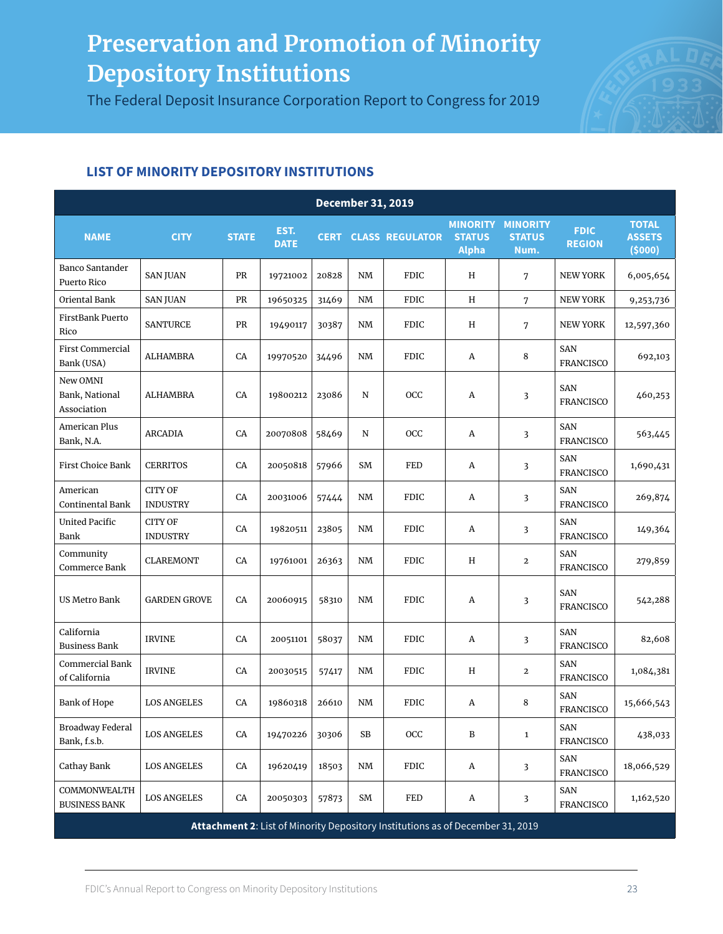The Federal Deposit Insurance Corporation Report to Congress for 2019



| <b>December 31, 2019</b>                  |                                   |              |                     |             |           |                                                                                |                                                  |                                          |                                |                                         |  |  |
|-------------------------------------------|-----------------------------------|--------------|---------------------|-------------|-----------|--------------------------------------------------------------------------------|--------------------------------------------------|------------------------------------------|--------------------------------|-----------------------------------------|--|--|
| <b>NAME</b>                               | <b>CITY</b>                       | <b>STATE</b> | EST.<br><b>DATE</b> | <b>CERT</b> |           | <b>CLASS REGULATOR</b>                                                         | <b>MINORITY</b><br><b>STATUS</b><br><b>Alpha</b> | <b>MINORITY</b><br><b>STATUS</b><br>Num. | <b>FDIC</b><br><b>REGION</b>   | <b>TOTAL</b><br><b>ASSETS</b><br>(5000) |  |  |
| Banco Santander<br>Puerto Rico            | <b>SAN JUAN</b>                   | PR           | 19721002            | 20828       | NM        | <b>FDIC</b>                                                                    | Η                                                | 7                                        | <b>NEW YORK</b>                | 6,005,654                               |  |  |
| Oriental Bank                             | <b>SAN JUAN</b>                   | PR           | 19650325            | 31469       | <b>NM</b> | <b>FDIC</b>                                                                    | H                                                | 7                                        | <b>NEW YORK</b>                | 9,253,736                               |  |  |
| FirstBank Puerto<br>Rico                  | <b>SANTURCE</b>                   | PR           | 19490117            | 30387       | NM        | <b>FDIC</b>                                                                    | Η                                                | 7                                        | <b>NEW YORK</b>                | 12,597,360                              |  |  |
| <b>First Commercial</b><br>Bank (USA)     | ALHAMBRA                          | CA           | 19970520            | 34496       | NM        | <b>FDIC</b>                                                                    | Α                                                | 8                                        | <b>SAN</b><br><b>FRANCISCO</b> | 692,103                                 |  |  |
| New OMNI<br>Bank, National<br>Association | ALHAMBRA                          | CA           | 19800212            | 23086       | N         | OCC                                                                            | А                                                | 3                                        | <b>SAN</b><br><b>FRANCISCO</b> | 460,253                                 |  |  |
| American Plus<br>Bank, N.A.               | <b>ARCADIA</b>                    | CA           | 20070808            | 58469       | N         | OCC                                                                            | Α                                                | 3                                        | <b>SAN</b><br><b>FRANCISCO</b> | 563,445                                 |  |  |
| First Choice Bank                         | <b>CERRITOS</b>                   | CA           | 20050818            | 57966       | SM        | FED                                                                            | А                                                | 3                                        | <b>SAN</b><br><b>FRANCISCO</b> | 1,690,431                               |  |  |
| American<br>Continental Bank              | <b>CITY OF</b><br><b>INDUSTRY</b> | CA           | 20031006            | 57444       | NM        | <b>FDIC</b>                                                                    | А                                                | 3                                        | <b>SAN</b><br><b>FRANCISCO</b> | 269,874                                 |  |  |
| <b>United Pacific</b><br>Bank             | <b>CITY OF</b><br><b>INDUSTRY</b> | CA           | 19820511            | 23805       | NM        | <b>FDIC</b>                                                                    | А                                                | 3                                        | <b>SAN</b><br><b>FRANCISCO</b> | 149,364                                 |  |  |
| Community<br>Commerce Bank                | <b>CLAREMONT</b>                  | CA           | 19761001            | 26363       | NM        | <b>FDIC</b>                                                                    | Η                                                | $\mathbf{2}$                             | <b>SAN</b><br><b>FRANCISCO</b> | 279,859                                 |  |  |
| <b>US Metro Bank</b>                      | <b>GARDEN GROVE</b>               | CA           | 20060915            | 58310       | NM        | <b>FDIC</b>                                                                    | Α                                                | 3                                        | <b>SAN</b><br><b>FRANCISCO</b> | 542,288                                 |  |  |
| California<br><b>Business Bank</b>        | <b>IRVINE</b>                     | CA           | 20051101            | 58037       | NM        | <b>FDIC</b>                                                                    | A                                                | 3                                        | <b>SAN</b><br><b>FRANCISCO</b> | 82,608                                  |  |  |
| Commercial Bank<br>of California          | <b>IRVINE</b>                     | CA           | 20030515            | 57417       | NM        | <b>FDIC</b>                                                                    | H                                                | $\mathbf{2}$                             | <b>SAN</b><br><b>FRANCISCO</b> | 1,084,381                               |  |  |
| <b>Bank of Hope</b>                       | <b>LOS ANGELES</b>                | CA           | 19860318            | 26610       | NM        | <b>FDIC</b>                                                                    | Α                                                | 8                                        | <b>SAN</b><br><b>FRANCISCO</b> | 15,666,543                              |  |  |
| <b>Broadway Federal</b><br>Bank, f.s.b.   | <b>LOS ANGELES</b>                | CA           | 19470226            | 30306       | SB        | OCC                                                                            | $\, {\bf B}$                                     | $\mathbf{1}$                             | <b>SAN</b><br><b>FRANCISCO</b> | 438,033                                 |  |  |
| Cathay Bank                               | <b>LOS ANGELES</b>                | CA           | 19620419            | 18503       | NM        | <b>FDIC</b>                                                                    | A                                                | 3                                        | SAN<br><b>FRANCISCO</b>        | 18,066,529                              |  |  |
| COMMONWEALTH<br><b>BUSINESS BANK</b>      | <b>LOS ANGELES</b>                | CA           | 20050303            | 57873       | SM        | FED                                                                            | A                                                | 3                                        | SAN<br><b>FRANCISCO</b>        | 1,162,520                               |  |  |
|                                           |                                   |              |                     |             |           | Attachment 2: List of Minority Depository Institutions as of December 31, 2019 |                                                  |                                          |                                |                                         |  |  |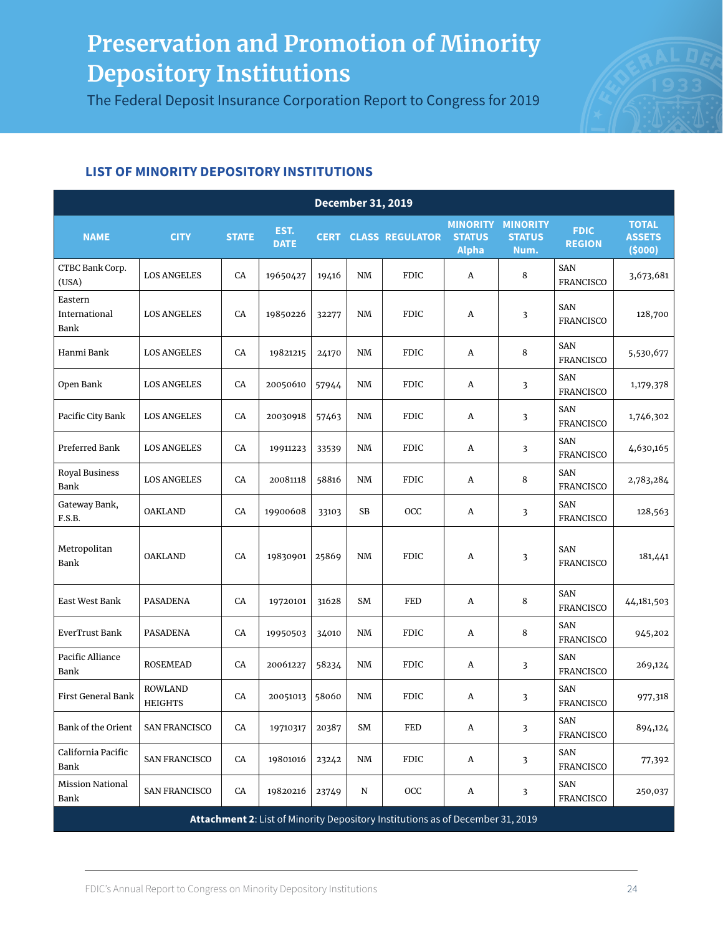The Federal Deposit Insurance Corporation Report to Congress for 2019



| <b>December 31, 2019</b>         |                                  |              |                     |       |           |                                                                                |                                                  |                                          |                                |                                         |  |  |
|----------------------------------|----------------------------------|--------------|---------------------|-------|-----------|--------------------------------------------------------------------------------|--------------------------------------------------|------------------------------------------|--------------------------------|-----------------------------------------|--|--|
| <b>NAME</b>                      | <b>CITY</b>                      | <b>STATE</b> | EST.<br><b>DATE</b> |       |           | <b>CERT CLASS REGULATOR</b>                                                    | <b>MINORITY</b><br><b>STATUS</b><br><b>Alpha</b> | <b>MINORITY</b><br><b>STATUS</b><br>Num. | <b>FDIC</b><br><b>REGION</b>   | <b>TOTAL</b><br><b>ASSETS</b><br>(5000) |  |  |
| CTBC Bank Corp.<br>(USA)         | <b>LOS ANGELES</b>               | CA           | 19650427            | 19416 | NM        | <b>FDIC</b>                                                                    | A                                                | 8                                        | SAN<br><b>FRANCISCO</b>        | 3,673,681                               |  |  |
| Eastern<br>International<br>Bank | <b>LOS ANGELES</b>               | CA           | 19850226            | 32277 | <b>NM</b> | <b>FDIC</b>                                                                    | A                                                | 3                                        | SAN<br><b>FRANCISCO</b>        | 128,700                                 |  |  |
| Hanmi Bank                       | <b>LOS ANGELES</b>               | CA           | 19821215            | 24170 | NM        | <b>FDIC</b>                                                                    | A                                                | 8                                        | <b>SAN</b><br><b>FRANCISCO</b> | 5,530,677                               |  |  |
| Open Bank                        | <b>LOS ANGELES</b>               | CA           | 20050610            | 57944 | NM        | <b>FDIC</b>                                                                    | A                                                | 3                                        | SAN<br><b>FRANCISCO</b>        | 1,179,378                               |  |  |
| Pacific City Bank                | <b>LOS ANGELES</b>               | CA           | 20030918            | 57463 | NM        | <b>FDIC</b>                                                                    | A                                                | 3                                        | <b>SAN</b><br><b>FRANCISCO</b> | 1,746,302                               |  |  |
| Preferred Bank                   | <b>LOS ANGELES</b>               | CA           | 19911223            | 33539 | NM        | <b>FDIC</b>                                                                    | A                                                | 3                                        | <b>SAN</b><br><b>FRANCISCO</b> | 4,630,165                               |  |  |
| Royal Business<br>Bank           | <b>LOS ANGELES</b>               | CA           | 20081118            | 58816 | NM        | <b>FDIC</b>                                                                    | Α                                                | 8                                        | <b>SAN</b><br><b>FRANCISCO</b> | 2,783,284                               |  |  |
| Gateway Bank,<br>F.S.B.          | <b>OAKLAND</b>                   | CA           | 19900608            | 33103 | SB        | OCC                                                                            | A                                                | 3                                        | <b>SAN</b><br><b>FRANCISCO</b> | 128,563                                 |  |  |
| Metropolitan<br>Bank             | <b>OAKLAND</b>                   | CA           | 19830901            | 25869 | <b>NM</b> | <b>FDIC</b>                                                                    | Α                                                | 3                                        | <b>SAN</b><br><b>FRANCISCO</b> | 181,441                                 |  |  |
| East West Bank                   | PASADENA                         | CA           | 19720101            | 31628 | SM        | <b>FED</b>                                                                     | A                                                | 8                                        | SAN<br><b>FRANCISCO</b>        | 44,181,503                              |  |  |
| EverTrust Bank                   | PASADENA                         | CA           | 19950503            | 34010 | NM        | FDIC                                                                           | A                                                | 8                                        | <b>SAN</b><br><b>FRANCISCO</b> | 945,202                                 |  |  |
| Pacific Alliance<br>Bank         | <b>ROSEMEAD</b>                  | CA           | 20061227            | 58234 | NM        | <b>FDIC</b>                                                                    | A                                                | 3                                        | SAN<br><b>FRANCISCO</b>        | 269,124                                 |  |  |
| First General Bank               | <b>ROWLAND</b><br><b>HEIGHTS</b> | CA           | 20051013            | 58060 | NM        | <b>FDIC</b>                                                                    | A                                                | 3                                        | SAN<br><b>FRANCISCO</b>        | 977,318                                 |  |  |
| Bank of the Orient               | SAN FRANCISCO                    | CA           | 19710317            | 20387 | SM        | FED                                                                            | A                                                | 3                                        | SAN<br><b>FRANCISCO</b>        | 894,124                                 |  |  |
| California Pacific<br>Bank       | SAN FRANCISCO                    | CA           | 19801016            | 23242 | NM        | <b>FDIC</b>                                                                    | A                                                | 3                                        | SAN<br><b>FRANCISCO</b>        | 77,392                                  |  |  |
| <b>Mission National</b><br>Bank  | <b>SAN FRANCISCO</b>             | CA           | 19820216            | 23749 | N         | OCC                                                                            | A                                                | 3                                        | SAN<br><b>FRANCISCO</b>        | 250,037                                 |  |  |
|                                  |                                  |              |                     |       |           | Attachment 2: List of Minority Depository Institutions as of December 31, 2019 |                                                  |                                          |                                |                                         |  |  |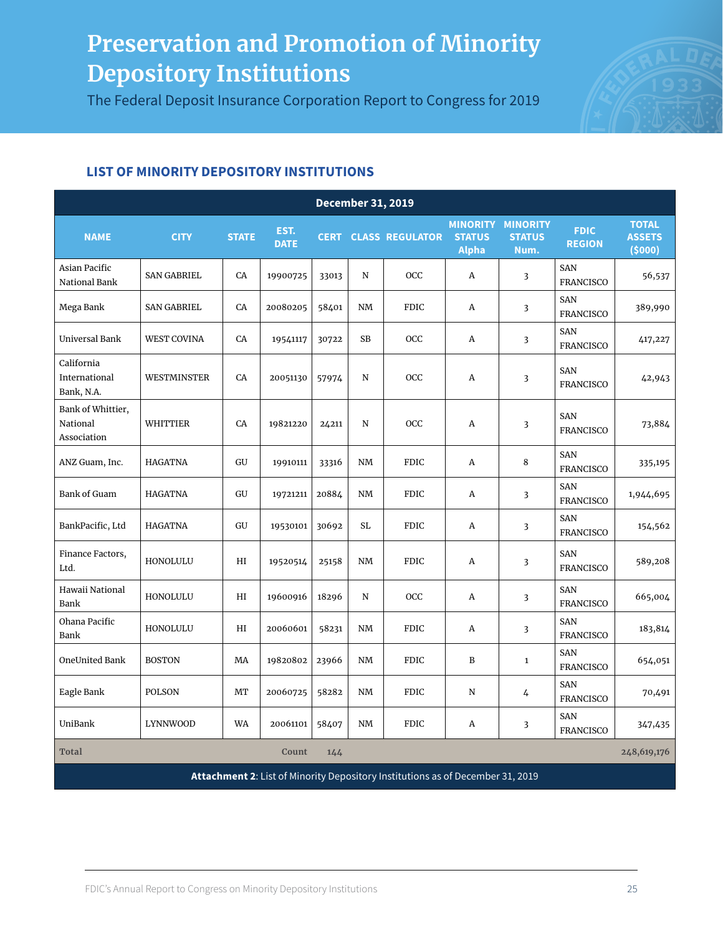The Federal Deposit Insurance Corporation Report to Congress for 2019



| <b>December 31, 2019</b>                     |                    |              |                     |       |             |                                                                                |                               |                                                   |                                |                                         |  |  |
|----------------------------------------------|--------------------|--------------|---------------------|-------|-------------|--------------------------------------------------------------------------------|-------------------------------|---------------------------------------------------|--------------------------------|-----------------------------------------|--|--|
| <b>NAME</b>                                  | <b>CITY</b>        | <b>STATE</b> | EST.<br><b>DATE</b> |       |             | <b>CERT CLASS REGULATOR</b>                                                    | <b>STATUS</b><br><b>Alpha</b> | <b>MINORITY MINORITY</b><br><b>STATUS</b><br>Num. | <b>FDIC</b><br><b>REGION</b>   | <b>TOTAL</b><br><b>ASSETS</b><br>(5000) |  |  |
| Asian Pacific<br>National Bank               | <b>SAN GABRIEL</b> | CA           | 19900725            | 33013 | ${\bf N}$   | OCC                                                                            | A                             | $\overline{3}$                                    | <b>SAN</b><br><b>FRANCISCO</b> | 56,537                                  |  |  |
| Mega Bank                                    | <b>SAN GABRIEL</b> | CA           | 20080205            | 58401 | NM          | <b>FDIC</b>                                                                    | A                             | $\overline{3}$                                    | <b>SAN</b><br><b>FRANCISCO</b> | 389,990                                 |  |  |
| Universal Bank                               | <b>WEST COVINA</b> | CA           | 19541117            | 30722 | <b>SB</b>   | <b>OCC</b>                                                                     | A                             | $\overline{\mathbf{3}}$                           | <b>SAN</b><br><b>FRANCISCO</b> | 417,227                                 |  |  |
| California<br>International<br>Bank, N.A.    | WESTMINSTER        | CA           | 20051130            | 57974 | N           | OCC                                                                            | A                             | $\overline{\mathbf{3}}$                           | <b>SAN</b><br><b>FRANCISCO</b> | 42,943                                  |  |  |
| Bank of Whittier,<br>National<br>Association | WHITTIER           | CA           | 19821220            | 24211 | $\mathbf N$ | OCC                                                                            | A                             | 3                                                 | <b>SAN</b><br><b>FRANCISCO</b> | 73,884                                  |  |  |
| ANZ Guam, Inc.                               | <b>HAGATNA</b>     | GU           | 19910111            | 33316 | NM          | <b>FDIC</b>                                                                    | A                             | 8                                                 | <b>SAN</b><br><b>FRANCISCO</b> | 335,195                                 |  |  |
| Bank of Guam                                 | <b>HAGATNA</b>     | GU           | 19721211            | 20884 | <b>NM</b>   | <b>FDIC</b>                                                                    | A                             | 3                                                 | SAN<br><b>FRANCISCO</b>        | 1,944,695                               |  |  |
| BankPacific, Ltd                             | <b>HAGATNA</b>     | GU           | 19530101            | 30692 | SL          | <b>FDIC</b>                                                                    | A                             | $\overline{3}$                                    | <b>SAN</b><br><b>FRANCISCO</b> | 154,562                                 |  |  |
| Finance Factors,<br>Ltd.                     | HONOLULU           | HI           | 19520514            | 25158 | NM          | <b>FDIC</b>                                                                    | A                             | $\overline{\mathbf{3}}$                           | <b>SAN</b><br><b>FRANCISCO</b> | 589,208                                 |  |  |
| Hawaii National<br><b>Bank</b>               | HONOLULU           | HI           | 19600916            | 18296 | N           | OCC                                                                            | A                             | 3                                                 | <b>SAN</b><br><b>FRANCISCO</b> | 665,004                                 |  |  |
| Ohana Pacific<br><b>Bank</b>                 | HONOLULU           | HI           | 20060601            | 58231 | NM          | <b>FDIC</b>                                                                    | A                             | $\overline{\mathbf{3}}$                           | <b>SAN</b><br><b>FRANCISCO</b> | 183,814                                 |  |  |
| OneUnited Bank                               | <b>BOSTON</b>      | MA           | 19820802            | 23966 | <b>NM</b>   | <b>FDIC</b>                                                                    | B                             | $\mathbf{1}$                                      | <b>SAN</b><br><b>FRANCISCO</b> | 654,051                                 |  |  |
| Eagle Bank                                   | <b>POLSON</b>      | MТ           | 20060725            | 58282 | NM          | <b>FDIC</b>                                                                    | N                             | 4                                                 | SAN<br><b>FRANCISCO</b>        | 70,491                                  |  |  |
| UniBank                                      | <b>LYNNWOOD</b>    | <b>WA</b>    | 20061101            | 58407 | NM          | <b>FDIC</b>                                                                    | A                             | $\overline{3}$                                    | SAN<br><b>FRANCISCO</b>        | 347,435                                 |  |  |
| <b>Total</b>                                 |                    |              | Count               | 144   |             |                                                                                |                               |                                                   |                                | 248,619,176                             |  |  |
|                                              |                    |              |                     |       |             | Attachment 2: List of Minority Depository Institutions as of December 31, 2019 |                               |                                                   |                                |                                         |  |  |